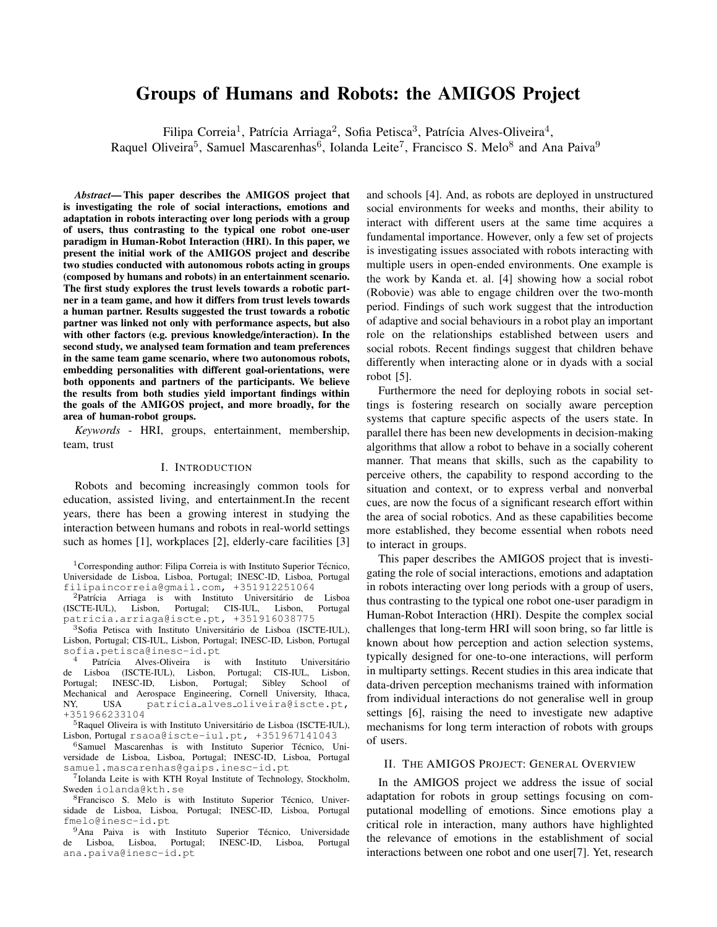# Groups of Humans and Robots: the AMIGOS Project

Filipa Correia<sup>1</sup>, Patrícia Arriaga<sup>2</sup>, Sofia Petisca<sup>3</sup>, Patrícia Alves-Oliveira<sup>4</sup>,

Raquel Oliveira<sup>5</sup>, Samuel Mascarenhas<sup>6</sup>, Iolanda Leite<sup>7</sup>, Francisco S. Melo<sup>8</sup> and Ana Paiva<sup>9</sup>

*Abstract*— This paper describes the AMIGOS project that is investigating the role of social interactions, emotions and adaptation in robots interacting over long periods with a group of users, thus contrasting to the typical one robot one-user paradigm in Human-Robot Interaction (HRI). In this paper, we present the initial work of the AMIGOS project and describe two studies conducted with autonomous robots acting in groups (composed by humans and robots) in an entertainment scenario. The first study explores the trust levels towards a robotic partner in a team game, and how it differs from trust levels towards a human partner. Results suggested the trust towards a robotic partner was linked not only with performance aspects, but also with other factors (e.g. previous knowledge/interaction). In the second study, we analysed team formation and team preferences in the same team game scenario, where two autonomous robots, embedding personalities with different goal-orientations, were both opponents and partners of the participants. We believe the results from both studies yield important findings within the goals of the AMIGOS project, and more broadly, for the area of human-robot groups.

*Keywords* - HRI, groups, entertainment, membership, team, trust

## I. INTRODUCTION

Robots and becoming increasingly common tools for education, assisted living, and entertainment.In the recent years, there has been a growing interest in studying the interaction between humans and robots in real-world settings such as homes [1], workplaces [2], elderly-care facilities [3]

<sup>1</sup> Corresponding author: Filipa Correia is with Instituto Superior Técnico, Universidade de Lisboa, Lisboa, Portugal; INESC-ID, Lisboa, Portugal filipaincorreia@gmail.com, +351912251064

 ${}^{2}$ Patrícia Arriaga is with Instituto Universitário de Lisboa (ISCTE-IUL), Lisbon, Portugal; CIS-IUL, Lisbon, Portugal patricia.arriaga@iscte.pt, +351916038775

<sup>3</sup>Sofia Petisca with Instituto Universitário de Lisboa (ISCTE-IUL), Lisbon, Portugal; CIS-IUL, Lisbon, Portugal; INESC-ID, Lisbon, Portugal sofia.petisca@inesc-id.pt

Patrícia Alves-Oliveira is with Instituto Universitário<br>Lisboa (ISCTE-IUL), Lisbon, Portugal; CIS-IUL, Lisbon, de Lisboa (ISCTE-IUL), Lisbon, Portugal; CIS-IUL, Lisbon, Portugal; INESC-ID, Lisbon, Portugal; Sibley School of Mechanical and Aerospace Engineering, Cornell University, Ithaca, NY, USA patricia alves oliveira@iscte.pt, +351966233104

<sup>5</sup>Raquel Oliveira is with Instituto Universitário de Lisboa (ISCTE-IUL), Lisbon, Portugal rsaoa@iscte-iul.pt, +351967141043

 $6$ Samuel Mascarenhas is with Instituto Superior Técnico, Universidade de Lisboa, Lisboa, Portugal; INESC-ID, Lisboa, Portugal samuel.mascarenhas@gaips.inesc-id.pt

<sup>7</sup>Iolanda Leite is with KTH Royal Institute of Technology, Stockholm, Sweden iolanda@kth.se

<sup>8</sup>Francisco S. Melo is with Instituto Superior Técnico, Universidade de Lisboa, Lisboa, Portugal; INESC-ID, Lisboa, Portugal fmelo@inesc-id.pt

 $9$ Ana Paiva is with Instituto Superior Técnico, Universidade de Lisboa, Lisboa, Portugal; INESC-ID, Lisboa, Portugal ana.paiva@inesc-id.pt

and schools [4]. And, as robots are deployed in unstructured social environments for weeks and months, their ability to interact with different users at the same time acquires a fundamental importance. However, only a few set of projects is investigating issues associated with robots interacting with multiple users in open-ended environments. One example is the work by Kanda et. al. [4] showing how a social robot (Robovie) was able to engage children over the two-month period. Findings of such work suggest that the introduction of adaptive and social behaviours in a robot play an important role on the relationships established between users and social robots. Recent findings suggest that children behave differently when interacting alone or in dyads with a social robot [5].

Furthermore the need for deploying robots in social settings is fostering research on socially aware perception systems that capture specific aspects of the users state. In parallel there has been new developments in decision-making algorithms that allow a robot to behave in a socially coherent manner. That means that skills, such as the capability to perceive others, the capability to respond according to the situation and context, or to express verbal and nonverbal cues, are now the focus of a significant research effort within the area of social robotics. And as these capabilities become more established, they become essential when robots need to interact in groups.

This paper describes the AMIGOS project that is investigating the role of social interactions, emotions and adaptation in robots interacting over long periods with a group of users, thus contrasting to the typical one robot one-user paradigm in Human-Robot Interaction (HRI). Despite the complex social challenges that long-term HRI will soon bring, so far little is known about how perception and action selection systems, typically designed for one-to-one interactions, will perform in multiparty settings. Recent studies in this area indicate that data-driven perception mechanisms trained with information from individual interactions do not generalise well in group settings [6], raising the need to investigate new adaptive mechanisms for long term interaction of robots with groups of users.

### II. THE AMIGOS PROJECT: GENERAL OVERVIEW

In the AMIGOS project we address the issue of social adaptation for robots in group settings focusing on computational modelling of emotions. Since emotions play a critical role in interaction, many authors have highlighted the relevance of emotions in the establishment of social interactions between one robot and one user[7]. Yet, research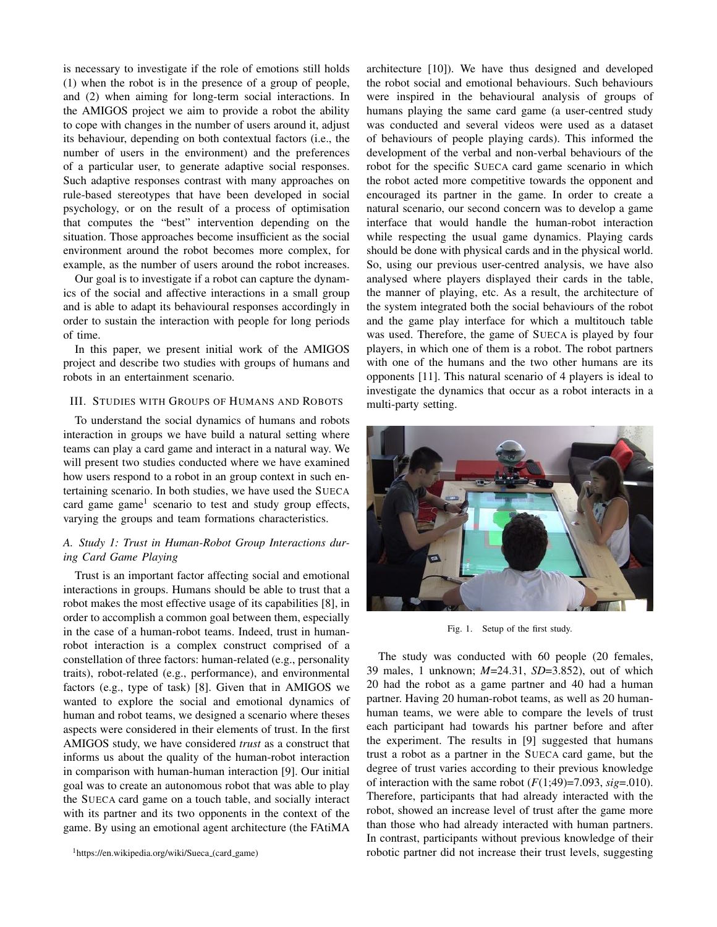is necessary to investigate if the role of emotions still holds (1) when the robot is in the presence of a group of people, and (2) when aiming for long-term social interactions. In the AMIGOS project we aim to provide a robot the ability to cope with changes in the number of users around it, adjust its behaviour, depending on both contextual factors (i.e., the number of users in the environment) and the preferences of a particular user, to generate adaptive social responses. Such adaptive responses contrast with many approaches on rule-based stereotypes that have been developed in social psychology, or on the result of a process of optimisation that computes the "best" intervention depending on the situation. Those approaches become insufficient as the social environment around the robot becomes more complex, for example, as the number of users around the robot increases.

Our goal is to investigate if a robot can capture the dynamics of the social and affective interactions in a small group and is able to adapt its behavioural responses accordingly in order to sustain the interaction with people for long periods of time.

In this paper, we present initial work of the AMIGOS project and describe two studies with groups of humans and robots in an entertainment scenario.

#### III. STUDIES WITH GROUPS OF HUMANS AND ROBOTS

To understand the social dynamics of humans and robots interaction in groups we have build a natural setting where teams can play a card game and interact in a natural way. We will present two studies conducted where we have examined how users respond to a robot in an group context in such entertaining scenario. In both studies, we have used the SUECA card game game<sup>1</sup> scenario to test and study group effects, varying the groups and team formations characteristics.

## *A. Study 1: Trust in Human-Robot Group Interactions during Card Game Playing*

Trust is an important factor affecting social and emotional interactions in groups. Humans should be able to trust that a robot makes the most effective usage of its capabilities [8], in order to accomplish a common goal between them, especially in the case of a human-robot teams. Indeed, trust in humanrobot interaction is a complex construct comprised of a constellation of three factors: human-related (e.g., personality traits), robot-related (e.g., performance), and environmental factors (e.g., type of task) [8]. Given that in AMIGOS we wanted to explore the social and emotional dynamics of human and robot teams, we designed a scenario where theses aspects were considered in their elements of trust. In the first AMIGOS study, we have considered *trust* as a construct that informs us about the quality of the human-robot interaction in comparison with human-human interaction [9]. Our initial goal was to create an autonomous robot that was able to play the SUECA card game on a touch table, and socially interact with its partner and its two opponents in the context of the game. By using an emotional agent architecture (the FAtiMA

architecture [10]). We have thus designed and developed the robot social and emotional behaviours. Such behaviours were inspired in the behavioural analysis of groups of humans playing the same card game (a user-centred study was conducted and several videos were used as a dataset of behaviours of people playing cards). This informed the development of the verbal and non-verbal behaviours of the robot for the specific SUECA card game scenario in which the robot acted more competitive towards the opponent and encouraged its partner in the game. In order to create a natural scenario, our second concern was to develop a game interface that would handle the human-robot interaction while respecting the usual game dynamics. Playing cards should be done with physical cards and in the physical world. So, using our previous user-centred analysis, we have also analysed where players displayed their cards in the table, the manner of playing, etc. As a result, the architecture of the system integrated both the social behaviours of the robot and the game play interface for which a multitouch table was used. Therefore, the game of SUECA is played by four players, in which one of them is a robot. The robot partners with one of the humans and the two other humans are its opponents [11]. This natural scenario of 4 players is ideal to investigate the dynamics that occur as a robot interacts in a multi-party setting.



Fig. 1. Setup of the first study.

The study was conducted with 60 people (20 females, 39 males, 1 unknown; *M*=24.31, *SD*=3.852), out of which 20 had the robot as a game partner and 40 had a human partner. Having 20 human-robot teams, as well as 20 humanhuman teams, we were able to compare the levels of trust each participant had towards his partner before and after the experiment. The results in [9] suggested that humans trust a robot as a partner in the SUECA card game, but the degree of trust varies according to their previous knowledge of interaction with the same robot  $(F(1,49)=7.093, sig=.010)$ . Therefore, participants that had already interacted with the robot, showed an increase level of trust after the game more than those who had already interacted with human partners. In contrast, participants without previous knowledge of their robotic partner did not increase their trust levels, suggesting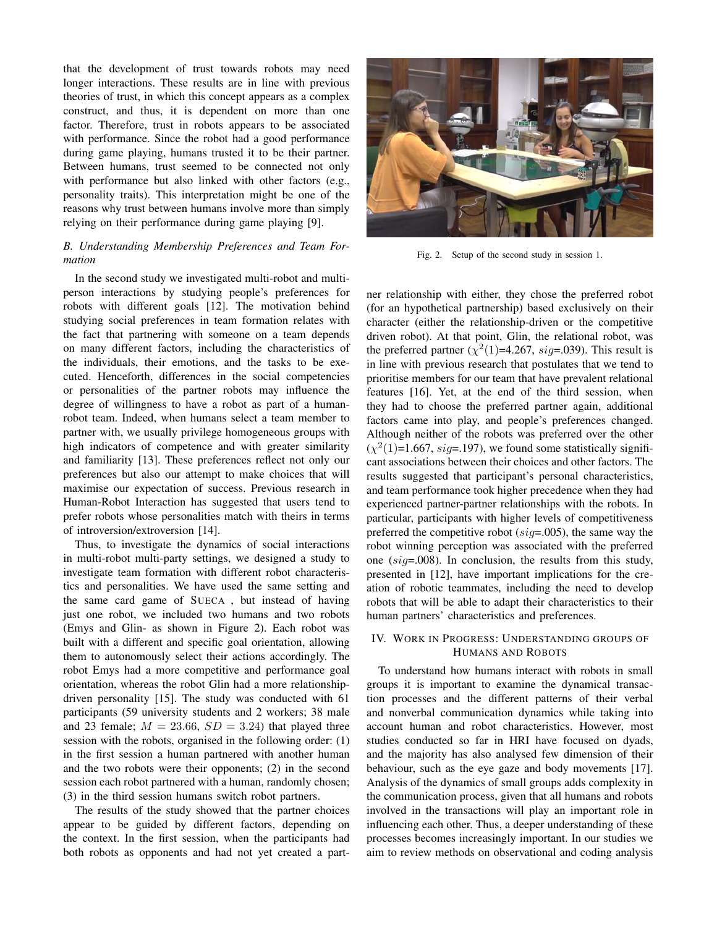that the development of trust towards robots may need longer interactions. These results are in line with previous theories of trust, in which this concept appears as a complex construct, and thus, it is dependent on more than one factor. Therefore, trust in robots appears to be associated with performance. Since the robot had a good performance during game playing, humans trusted it to be their partner. Between humans, trust seemed to be connected not only with performance but also linked with other factors (e.g., personality traits). This interpretation might be one of the reasons why trust between humans involve more than simply relying on their performance during game playing [9].

## *B. Understanding Membership Preferences and Team Formation*

In the second study we investigated multi-robot and multiperson interactions by studying people's preferences for robots with different goals [12]. The motivation behind studying social preferences in team formation relates with the fact that partnering with someone on a team depends on many different factors, including the characteristics of the individuals, their emotions, and the tasks to be executed. Henceforth, differences in the social competencies or personalities of the partner robots may influence the degree of willingness to have a robot as part of a humanrobot team. Indeed, when humans select a team member to partner with, we usually privilege homogeneous groups with high indicators of competence and with greater similarity and familiarity [13]. These preferences reflect not only our preferences but also our attempt to make choices that will maximise our expectation of success. Previous research in Human-Robot Interaction has suggested that users tend to prefer robots whose personalities match with theirs in terms of introversion/extroversion [14].

Thus, to investigate the dynamics of social interactions in multi-robot multi-party settings, we designed a study to investigate team formation with different robot characteristics and personalities. We have used the same setting and the same card game of SUECA , but instead of having just one robot, we included two humans and two robots (Emys and Glin- as shown in Figure 2). Each robot was built with a different and specific goal orientation, allowing them to autonomously select their actions accordingly. The robot Emys had a more competitive and performance goal orientation, whereas the robot Glin had a more relationshipdriven personality [15]. The study was conducted with 61 participants (59 university students and 2 workers; 38 male and 23 female;  $M = 23.66$ ,  $SD = 3.24$ ) that played three session with the robots, organised in the following order: (1) in the first session a human partnered with another human and the two robots were their opponents; (2) in the second session each robot partnered with a human, randomly chosen; (3) in the third session humans switch robot partners.

The results of the study showed that the partner choices appear to be guided by different factors, depending on the context. In the first session, when the participants had both robots as opponents and had not yet created a part-



Fig. 2. Setup of the second study in session 1.

ner relationship with either, they chose the preferred robot (for an hypothetical partnership) based exclusively on their character (either the relationship-driven or the competitive driven robot). At that point, Glin, the relational robot, was the preferred partner  $(\chi^2(1)=4.267, sig=.039)$ . This result is in line with previous research that postulates that we tend to prioritise members for our team that have prevalent relational features [16]. Yet, at the end of the third session, when they had to choose the preferred partner again, additional factors came into play, and people's preferences changed. Although neither of the robots was preferred over the other  $(\chi^2(1)=1.667, \text{sig} = .197)$ , we found some statistically significant associations between their choices and other factors. The results suggested that participant's personal characteristics, and team performance took higher precedence when they had experienced partner-partner relationships with the robots. In particular, participants with higher levels of competitiveness preferred the competitive robot (*sig*=.005), the same way the robot winning perception was associated with the preferred one (*sig*=.008). In conclusion, the results from this study, presented in [12], have important implications for the creation of robotic teammates, including the need to develop robots that will be able to adapt their characteristics to their human partners' characteristics and preferences.

## IV. WORK IN PROGRESS: UNDERSTANDING GROUPS OF HUMANS AND ROBOTS

To understand how humans interact with robots in small groups it is important to examine the dynamical transaction processes and the different patterns of their verbal and nonverbal communication dynamics while taking into account human and robot characteristics. However, most studies conducted so far in HRI have focused on dyads, and the majority has also analysed few dimension of their behaviour, such as the eye gaze and body movements [17]. Analysis of the dynamics of small groups adds complexity in the communication process, given that all humans and robots involved in the transactions will play an important role in influencing each other. Thus, a deeper understanding of these processes becomes increasingly important. In our studies we aim to review methods on observational and coding analysis